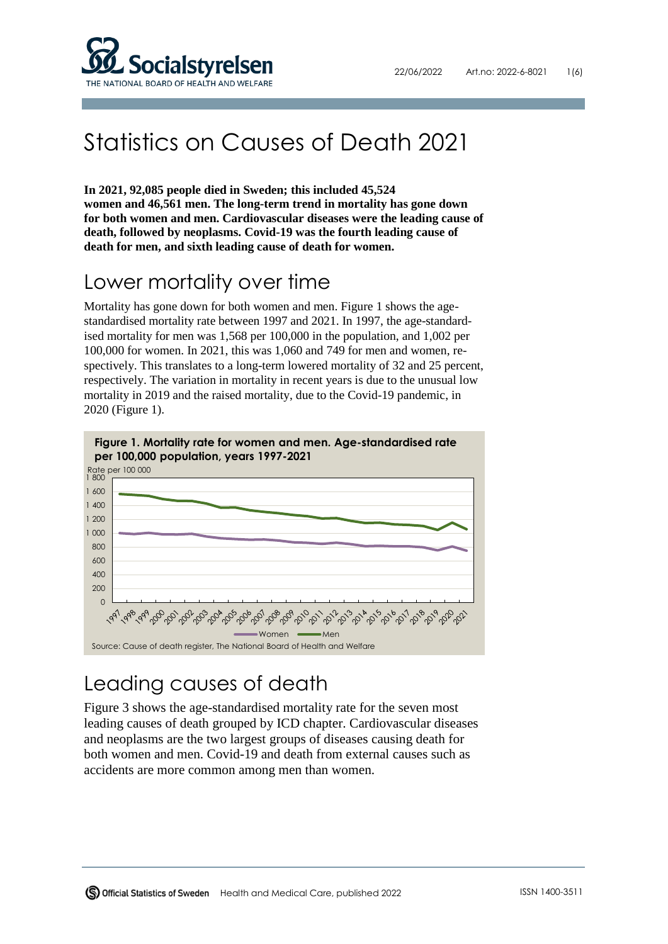

# Statistics on Causes of Death 2021

**In 2021, 92,085 people died in Sweden; this included 45,524 women and 46,561 men. The long-term trend in mortality has gone down for both women and men. Cardiovascular diseases were the leading cause of death, followed by neoplasms. Covid-19 was the fourth leading cause of death for men, and sixth leading cause of death for women.** 

#### Lower mortality over time

Mortality has gone down for both women and men. Figure 1 shows the agestandardised mortality rate between 1997 and 2021. In 1997, the age-standardised mortality for men was 1,568 per 100,000 in the population, and 1,002 per 100,000 for women. In 2021, this was 1,060 and 749 for men and women, respectively. This translates to a long-term lowered mortality of 32 and 25 percent, respectively. The variation in mortality in recent years is due to the unusual low mortality in 2019 and the raised mortality, due to the Covid-19 pandemic, in 2020 (Figure 1).



## Leading causes of death

Figure 3 shows the age-standardised mortality rate for the seven most leading causes of death grouped by ICD chapter. Cardiovascular diseases and neoplasms are the two largest groups of diseases causing death for both women and men. Covid-19 and death from external causes such as accidents are more common among men than women.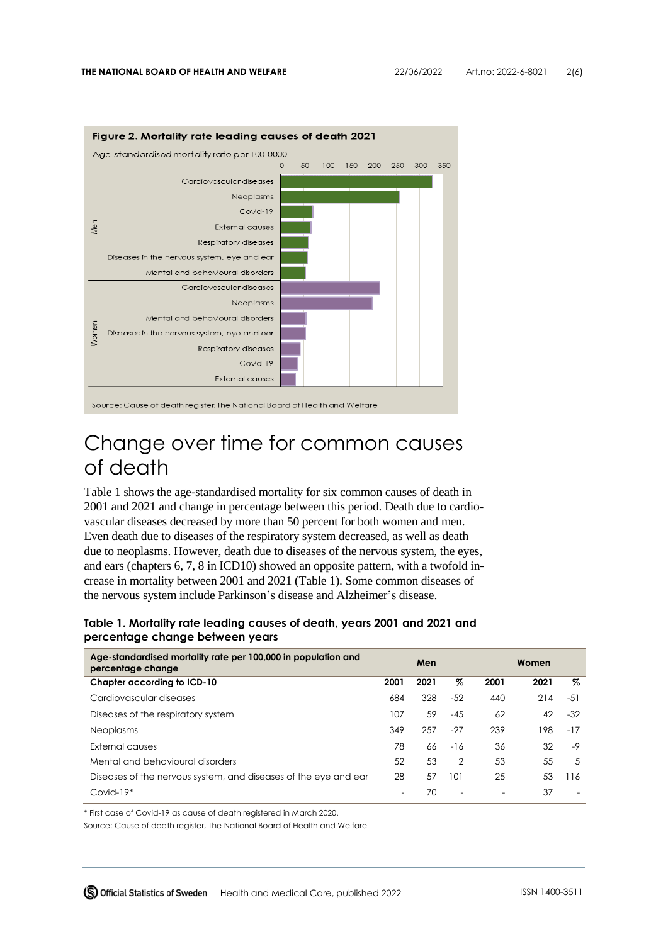

#### Change over time for common causes of death

Table 1 shows the age-standardised mortality for six common causes of death in 2001 and 2021 and change in percentage between this period. Death due to cardiovascular diseases decreased by more than 50 percent for both women and men. Even death due to diseases of the respiratory system decreased, as well as death due to neoplasms. However, death due to diseases of the nervous system, the eyes, and ears (chapters 6, 7, 8 in ICD10) showed an opposite pattern, with a twofold increase in mortality between 2001 and 2021 (Table 1). Some common diseases of the nervous system include Parkinson's disease and Alzheimer's disease.

**Table 1. Mortality rate leading causes of death, years 2001 and 2021 and percentage change between years**

| Age-standardised mortality rate per 100,000 in population and<br>percentage change | Men  |      |                | Women |      |       |
|------------------------------------------------------------------------------------|------|------|----------------|-------|------|-------|
| Chapter according to ICD-10                                                        | 2001 | 2021 | Z              | 2001  | 2021 | %     |
| Cardiovascular diseases                                                            | 684  | 328  | $-52$          | 440   | 214  | $-51$ |
| Diseases of the respiratory system                                                 | 107  | 59   | $-45$          | 62    | 42   | $-32$ |
| <b>Neoplasms</b>                                                                   | 349  | 257  | $-27$          | 239   | 198  | $-17$ |
| External causes                                                                    | 78   | 66   | $-16$          | 36    | 32   | -9    |
| Mental and behavioural disorders                                                   | 52   | 53   | $\overline{2}$ | 53    | 55   | 5     |
| Diseases of the nervous system, and diseases of the eye and ear                    | 28   | 57   | 101            | 25    | 53   | 116   |
| $Covid-19*$                                                                        |      | 70   |                |       | 37   |       |

\* First case of Covid-19 as cause of death registered in March 2020.

Source: Cause of death register, The National Board of Health and Welfare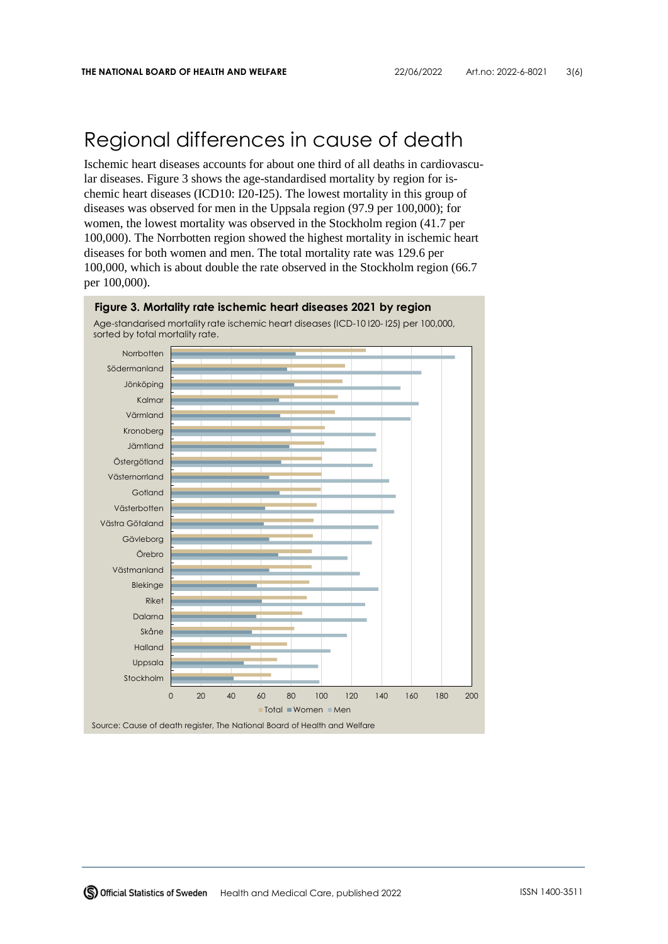#### Regional differences in cause of death

Ischemic heart diseases accounts for about one third of all deaths in cardiovascular diseases. Figure 3 shows the age-standardised mortality by region for ischemic heart diseases (ICD10: I20-I25). The lowest mortality in this group of diseases was observed for men in the Uppsala region (97.9 per 100,000); for women, the lowest mortality was observed in the Stockholm region (41.7 per 100,000). The Norrbotten region showed the highest mortality in ischemic heart diseases for both women and men. The total mortality rate was 129.6 per 100,000, which is about double the rate observed in the Stockholm region (66.7 per 100,000).

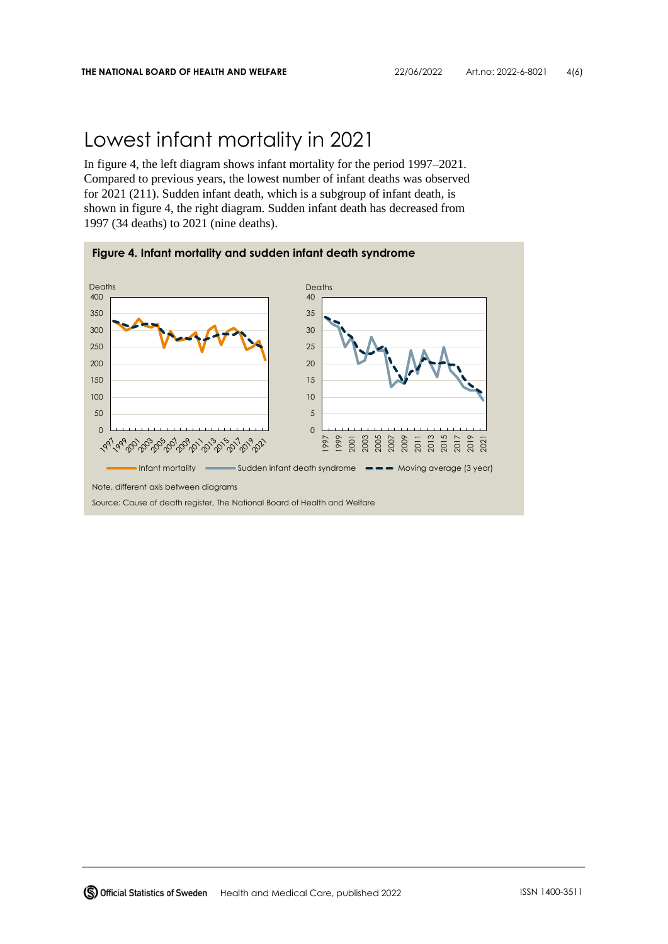### Lowest infant mortality in 2021

In figure 4, the left diagram shows infant mortality for the period 1997–2021. Compared to previous years, the lowest number of infant deaths was observed for 2021 (211). Sudden infant death, which is a subgroup of infant death, is shown in figure 4, the right diagram. Sudden infant death has decreased from 1997 (34 deaths) to 2021 (nine deaths).

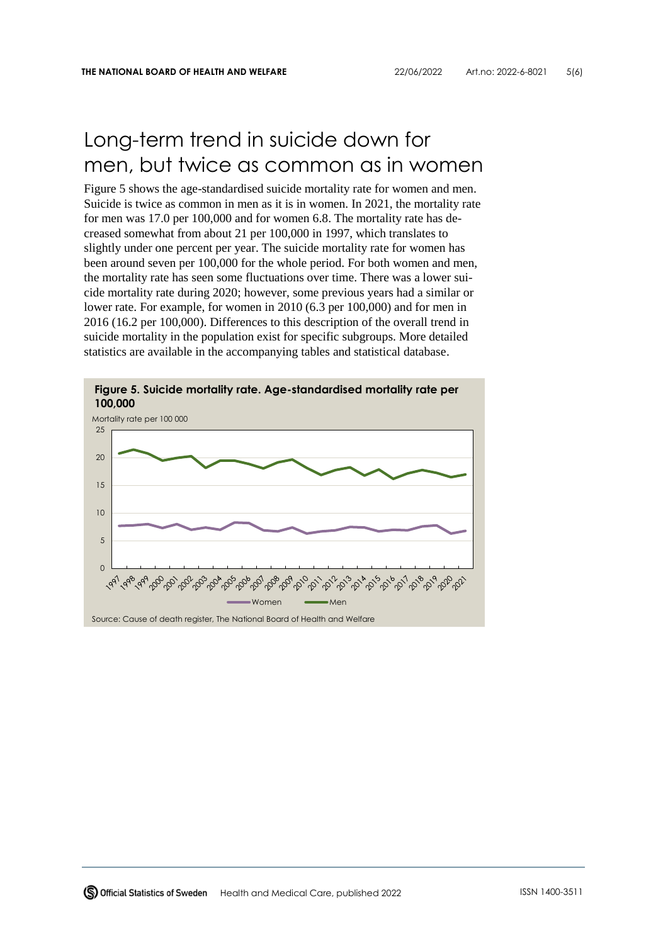#### Long-term trend in suicide down for men, but twice as common as in women

Figure 5 shows the age-standardised suicide mortality rate for women and men. Suicide is twice as common in men as it is in women. In 2021, the mortality rate for men was 17.0 per 100,000 and for women 6.8. The mortality rate has decreased somewhat from about 21 per 100,000 in 1997, which translates to slightly under one percent per year. The suicide mortality rate for women has been around seven per 100,000 for the whole period. For both women and men, the mortality rate has seen some fluctuations over time. There was a lower suicide mortality rate during 2020; however, some previous years had a similar or lower rate. For example, for women in 2010 (6.3 per 100,000) and for men in 2016 (16.2 per 100,000). Differences to this description of the overall trend in suicide mortality in the population exist for specific subgroups. More detailed statistics are available in the accompanying tables and statistical database.